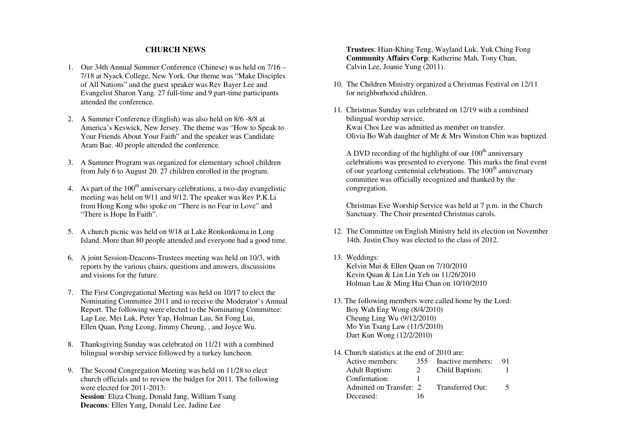## **CHURCH NEWS**

- 1. Our 34th Annual Summer Conference (Chinese) was held on 7/16 7/18 at Nyack College, New York. Our theme was "Make Disciples of All Nations" and the guest speaker was Rev Bayer Lee and Evangelist Sharon Yang. 27 full-time and 9 part-time participants attended the conference.
- 2. A Summer Conference (English) was also held on 8/6 -8/8 at America's Keswick, New Jersey. The theme was "How to Speak to Your Friends About Your Faith" and the speaker was Candidate Aram Bae. 40 people attended the conference.
- 3. A Summer Program was organized for elementary school children from July 6 to August 20. 27 children enrolled in the program.
- 4. As part of the  $100<sup>th</sup>$  anniversary celebrations, a two-day evangelistic meeting was held on 9/11 and 9/12. The speaker was Rev P.K.Li from Hong Kong who spoke on "There is no Fear in Love" and "There is Hope In Faith".
- 5. A church picnic was held on 9/18 at Lake Ronkonkoma in Long Island. More than 80 people attended and everyone had a good time.
- 6. A joint Session-Deacons-Trustees meeting was held on 10/3, with reports by the various chairs, questions and answers, discussions and visions for the future.
- 7. The First Congregational Meeting was held on 10/17 to elect the Nominating Committee 2011 and to receive the Moderator's Annual Report. The following were elected to the Nominating Committee: Lap Lee, Mei Luk, Peter Yap, Holman Lau, Sit Fong Lui, Ellen Quan, Peng Leong, Jimmy Cheung, , and Joyce Wu.
- 8. Thanksgiving Sunday was celebrated on 11/21 with a combined bilingual worship service followed by a turkey luncheon.
- 9. The Second Congregation Meeting was held on 11/28 to elect church officials and to review the budget for 2011. The following were elected for 2011-2013: **Session**: Eliza Chung, Donald Jang, William Tsang **Deacons**: Ellen Yang, Donald Lee, Jadine Lee

**Trustees**: Hian-Khing Teng, Wayland Luk, Yuk Ching Fong **Community Affairs Corp**: Katherine Mah, Tony Chan, Calvin Lee, Joanie Yung (2011).

- 10. The Children Ministry organized a Christmas Festival on 12/11 for neighborhood children.
- 11. Christmas Sunday was celebrated on 12/19 with a combined bilingual worship service. Kwai Choi Lee was admitted as member on transfer. Olivia Bo Wah daughter of Mr & Mrs Winston Chin was baptized.

A DVD recording of the highlight of our  $100<sup>th</sup>$  anniversary celebrations was presented to everyone. This marks the final event of our yearlong centennial celebrations. The  $100<sup>th</sup>$  anniversary committee was officially recognized and thanked by the congregation.

 Christmas Eve Worship Service was held at 7 p.m. in the Church Sanctuary. The Choir presented Christmas carols.

- 12. The Committee on English Ministry held its election on November 14th. Justin Choy was elected to the class of 2012.
- 13. Weddings: Kelvin Mui & Ellen Quan on 7/10/2010 Kevin Quan & Lin Lin Yeh on 11/26/2010 Holman Lau & Ming Hui Chan on 10/10/2010
- 13. The following members were called home by the Lord: Boy Wah Eng Wong (8/4/2010) Cheung Ling Wu (9/12/2010) Mo Yin Tsang Law (11/5/2010) Dart Kun Wong (12/2/2010)
- 14. Church statistics at the end of 2010 are:

| Active members:         | 355. | Inactive members: | 91 |
|-------------------------|------|-------------------|----|
| <b>Adult Baptism:</b>   |      | Child Baptism:    |    |
| Confirmation:           |      |                   |    |
| Admitted on Transfer: 2 |      | Transferred Out:  |    |
| Deceased:               | 16   |                   |    |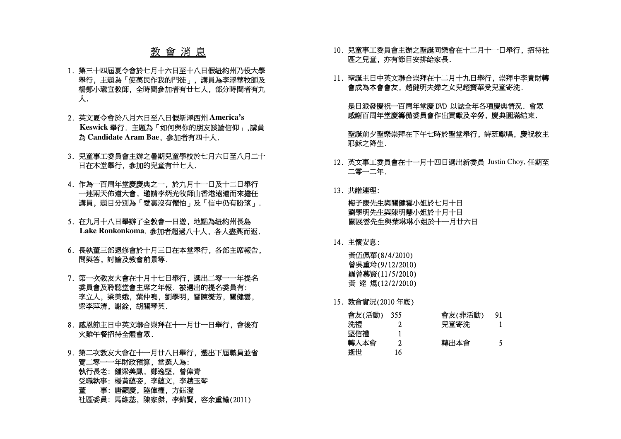## 教 會 消 息

- 1. 第三十四屆夏令會於七月十六日至十八日假紐約州乃役大學 舉行, 主題為「使萬民作我的門徒」, 講員為李澤華牧師及 楊鄭小瓏宣教師, 全時間參加者有廿七人, 部分時間者有九 人.
- 2. 英文夏令會於八月六日至八日假新澤西州 **America's Keswick**舉行. 主題為「如何與你的朋友談論信仰」,講員 為 **Candidate Aram Bae**, 參 加者有四十人.
- 3. 兒童事工委員會主辦之暑期兒童學校於七月六日至八月二十 日在本堂舉行, 參加的兒童有廿七人.
- 4. 作為一百周年堂慶慶典之一, 於九月十一日及十二日舉行 <sup>一</sup>連兩天佈道大會, 邀請李炳光牧師由香港遠道而來擔任 講員, 題目分別為「愛裏沒有懼怕」及「信中仍有盼望」.
- 5. 在九月十八日舉辦了全教會一日遊, 地點為紐約州長島 **Lake Ronkonkoma**, 參加者超過八十人, 各人盡興而返.
- 6. 長執董三部退修會於十月三日在本堂舉行, 各部主席報告, 問與答, 討論及教會前景等.
- 7. 第一次教友大會在十月十七日舉行, 選出二零一一年提名 委員會及聆聽堂會主席之年報. 被選出的提名委員有: 李立人, 梁美娥, 葉仲鳴, 劉學明, 雷陳爕芳, 關健雲, 梁李萍清, 謝銓, 胡關琴英.
- 8. 感恩節主日中英文聯合崇拜在十一月廿一日舉行, 會後有 火雞午餐招待全體會眾.
- 9. 第二次教友大會在十一月廿八日舉行, 選出下屆職員並省 覽二零一一年財政預算, 當選人為: 執行長老: 鍾梁美鳳, 鄭逸堅, 曾偉青 受職執事: 楊黃蘊姿, 李蘊文, 李趙玉琴 董 事: 唐顯慶, 陸偉權, 方鈺澄 社區委員: 馬維基, 陳家傑, 李錦賢, 容余重媮(2011)
- 10. 兒童事工委員會主辦之聖誕同樂會在十二月十一日舉行, 招待社區之兒童, 亦有節目安排給家長.
- 11. 聖誕主日中英文聯合崇拜在十二月十九日舉行, 崇拜中李貴財轉 會成為本會會友, 趙健明夫婦之女兒趙寶華受兒童寄洗.

 是日派發慶祝一百周年堂慶DVD 以誌全年各項慶典情況. 會眾 感謝百周年堂慶籌備委員會作出貢獻及辛勞, 慶典圓滿結束.

聖誕前夕聖樂崇拜在下午七時於聖堂舉行,詩班獻唱,慶祝救主 耶穌之降生.

- 12. 英文事工委員會在十一月十四日選出新委員 Justin Choy, 任期至二零一二年.
- 13. 共諧連理:

梅子康先生與關健雲小姐於七月十日 劉學明先生與陳明慧小姐於十月十日 關展雲先生與葉琳琳小姐於十一月廿六日

14. 主懷安息:

 黃伍佩華(8/4/2010) 曾吳重玲(9/12/2010) 羅曾慕賢(11/5/2010) 黃 達 焜(12/2/2010)

15. 教會實況(2010 年底)

| 會友(活動) | 355 | 會友(非活動) | 91 |
|--------|-----|---------|----|
| 洗禮     |     | 兒童寄洗    |    |
| 堅信禮    |     |         |    |
| 轉入本會   |     | 轉出本會    |    |
| 逝世     | l b |         |    |